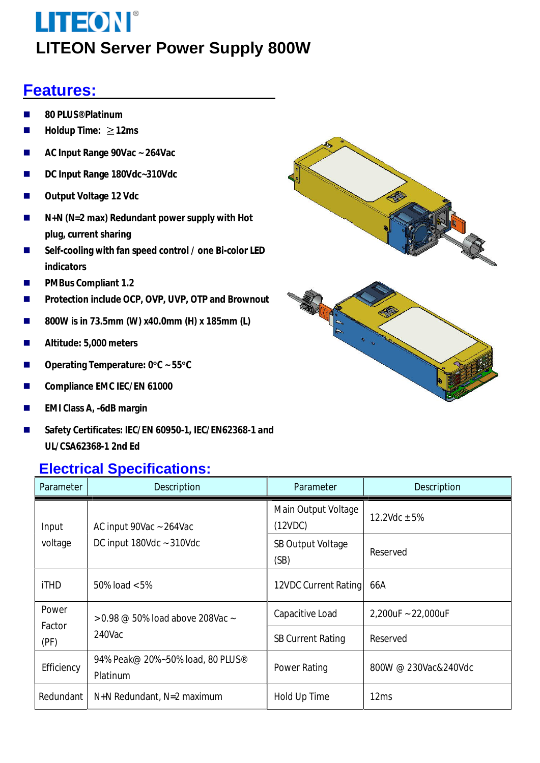### **Features:**

- n **80 PLUS® Platinum**
- n **Holdup Time:** ≧**12ms**
- AC Input Range 90Vac ~ 264Vac
- DC Input Range 180Vdc~310Vdc
- **n** Output Voltage 12 Vdc
- N+N (N=2 max) Redundant power supply with Hot **plug, current sharing**
- Self-cooling with fan speed control / one Bi-color LED **indicators**
- **n** PMBus Compliant 1.2
- **n** Protection include OCP, OVP, UVP, OTP and Brownout
- 800W is in 73.5mm (W) x40.0mm (H) x 185mm (L)
- n **Altitude: 5,000 meters**
- n **Operating Temperature: 0**°**C ~ 55**°**C**
- Compliance EMC IEC/EN 61000
- **EMI Class A, -6dB margin**
- n **Safety Certificates: IEC/EN 60950-1, IEC/EN62368-1 and UL/CSA62368-1 2nd Ed**

#### **Electrical Specifications:**



| Parameter        | Description                                                | Parameter                        | Description          |
|------------------|------------------------------------------------------------|----------------------------------|----------------------|
| Input<br>voltage | AC input 90Vac ~ 264Vac<br>DC input $180$ Vdc ~ $310$ Vdc  | Main Output Voltage<br>(12VDC)   | 12.2Vdc $\pm$ 5%     |
|                  |                                                            | <b>SB Output Voltage</b><br>(SB) | Reserved             |
| <b>iTHD</b>      | 50% load $< 5\%$                                           | 12VDC Current Rating             | 66A                  |
| Power            | $> 0.98 \text{ } @$ 50% load above 208Vac $\sim$<br>240Vac | Capacitive Load                  | 2,200uF ~ 22,000uF   |
| Factor<br>(PF)   |                                                            | <b>SB Current Rating</b>         | Reserved             |
| Efficiency       | 94% Peak@ 20%~50% load, 80 PLUS®<br>Platinum               | Power Rating                     | 800W @ 230Vac&240Vdc |
| Redundant        | N+N Redundant, N=2 maximum                                 | Hold Up Time                     | 12 <sub>ms</sub>     |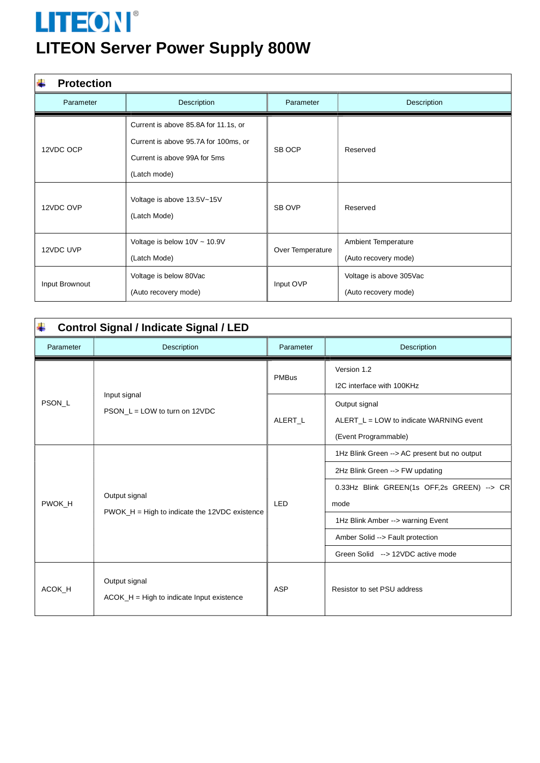| <b>Protection</b> |                                                                                                                              |                  |                                                 |
|-------------------|------------------------------------------------------------------------------------------------------------------------------|------------------|-------------------------------------------------|
| Parameter         | Description                                                                                                                  | Parameter        | Description                                     |
| 12VDC OCP         | Current is above 85.8A for 11.1s, or<br>Current is above 95.7A for 100ms, or<br>Current is above 99A for 5ms<br>(Latch mode) | SB OCP           | Reserved                                        |
| 12VDC OVP         | Voltage is above 13.5V~15V<br>(Latch Mode)                                                                                   | SB OVP           | Reserved                                        |
| 12VDC UVP         | Voltage is below $10V \sim 10.9V$<br>(Latch Mode)                                                                            | Over Temperature | Ambient Temperature<br>(Auto recovery mode)     |
| Input Brownout    | Voltage is below 80Vac<br>(Auto recovery mode)                                                                               | Input OVP        | Voltage is above 305Vac<br>(Auto recovery mode) |

| <b>Control Signal / Indicate Signal / LED</b> |                                                                |            |                                                                                                                                                                                                                                                     |
|-----------------------------------------------|----------------------------------------------------------------|------------|-----------------------------------------------------------------------------------------------------------------------------------------------------------------------------------------------------------------------------------------------------|
| Parameter                                     | <b>Description</b>                                             | Parameter  | Description                                                                                                                                                                                                                                         |
| PSON L                                        | Input signal<br>$PSON_L = LOW$ to turn on 12VDC                | PMBus      | Version 1.2<br>I2C interface with 100KHz                                                                                                                                                                                                            |
|                                               |                                                                | ALERT L    | Output signal<br>ALERT_L = LOW to indicate WARNING event<br>(Event Programmable)                                                                                                                                                                    |
| PWOK H                                        | Output signal<br>PWOK_H = High to indicate the 12VDC existence | <b>IFD</b> | 1Hz Blink Green --> AC present but no output<br>2Hz Blink Green --> FW updating<br>0.33Hz Blink GREEN(1s OFF,2s GREEN) --> CR<br>mode<br>1Hz Blink Amber --> warning Event<br>Amber Solid --> Fault protection<br>Green Solid --> 12VDC active mode |
| ACOK H                                        | Output signal<br>$ACOK$ $H = High to indicate Input existence$ | ASP        | Resistor to set PSU address                                                                                                                                                                                                                         |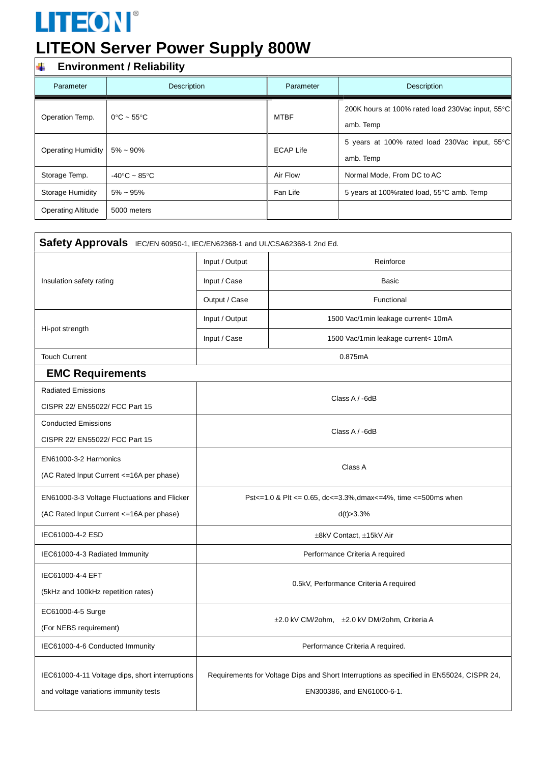### **Environment / Reliability**

| Parameter                 | Description                     | Parameter        | Description                                                   |
|---------------------------|---------------------------------|------------------|---------------------------------------------------------------|
| Operation Temp.           | $0^{\circ}$ C ~ 55 $^{\circ}$ C | <b>MTBF</b>      | 200K hours at 100% rated load 230Vac input, 55°C<br>amb. Temp |
| <b>Operating Humidity</b> | $5\% \sim 90\%$                 | <b>ECAP Life</b> | 5 years at 100% rated load 230Vac input, 55°C<br>amb. Temp    |
| Storage Temp.             | $-40\degree C - 85\degree C$    | Air Flow         | Normal Mode, From DC to AC                                    |
| <b>Storage Humidity</b>   | $5\% \sim 95\%$                 | Fan Life         | 5 years at 100% rated load, 55°C amb. Temp                    |
| <b>Operating Altitude</b> | 5000 meters                     |                  |                                                               |

| Safety Approvals IEC/EN 60950-1, IEC/EN62368-1 and UL/CSA62368-1 2nd Ed.                 |                                                                                                                        |                                     |  |
|------------------------------------------------------------------------------------------|------------------------------------------------------------------------------------------------------------------------|-------------------------------------|--|
|                                                                                          | Input / Output                                                                                                         | Reinforce                           |  |
| Insulation safety rating                                                                 | Input / Case                                                                                                           | <b>Basic</b>                        |  |
|                                                                                          | Output / Case                                                                                                          | Functional                          |  |
|                                                                                          | Input / Output                                                                                                         | 1500 Vac/1min leakage current< 10mA |  |
| Hi-pot strength                                                                          | Input / Case                                                                                                           | 1500 Vac/1min leakage current< 10mA |  |
| <b>Touch Current</b>                                                                     | 0.875mA                                                                                                                |                                     |  |
| <b>EMC Requirements</b>                                                                  |                                                                                                                        |                                     |  |
| <b>Radiated Emissions</b>                                                                |                                                                                                                        |                                     |  |
| CISPR 22/ EN55022/ FCC Part 15                                                           | Class A / -6dB                                                                                                         |                                     |  |
| <b>Conducted Emissions</b>                                                               | Class A / -6dB                                                                                                         |                                     |  |
| CISPR 22/ EN55022/ FCC Part 15                                                           |                                                                                                                        |                                     |  |
| EN61000-3-2 Harmonics                                                                    | Class A                                                                                                                |                                     |  |
| (AC Rated Input Current <= 16A per phase)                                                |                                                                                                                        |                                     |  |
| EN61000-3-3 Voltage Fluctuations and Flicker                                             | Pst <= 1.0 & Plt <= 0.65, dc <= 3.3%, dmax <= 4%, time <= 500ms when                                                   |                                     |  |
| (AC Rated Input Current <= 16A per phase)                                                | d(t) > 3.3%                                                                                                            |                                     |  |
| IEC61000-4-2 ESD                                                                         | ±8kV Contact, ±15kV Air                                                                                                |                                     |  |
| IEC61000-4-3 Radiated Immunity                                                           | Performance Criteria A required                                                                                        |                                     |  |
| IEC61000-4-4 EFT                                                                         | 0.5kV, Performance Criteria A required                                                                                 |                                     |  |
| (5kHz and 100kHz repetition rates)                                                       |                                                                                                                        |                                     |  |
| EC61000-4-5 Surge                                                                        |                                                                                                                        |                                     |  |
| (For NEBS requirement)                                                                   | ±2.0 kV CM/2ohm, ±2.0 kV DM/2ohm, Criteria A                                                                           |                                     |  |
| IEC61000-4-6 Conducted Immunity                                                          | Performance Criteria A required.                                                                                       |                                     |  |
| IEC61000-4-11 Voltage dips, short interruptions<br>and voltage variations immunity tests | Requirements for Voltage Dips and Short Interruptions as specified in EN55024, CISPR 24,<br>EN300386, and EN61000-6-1. |                                     |  |